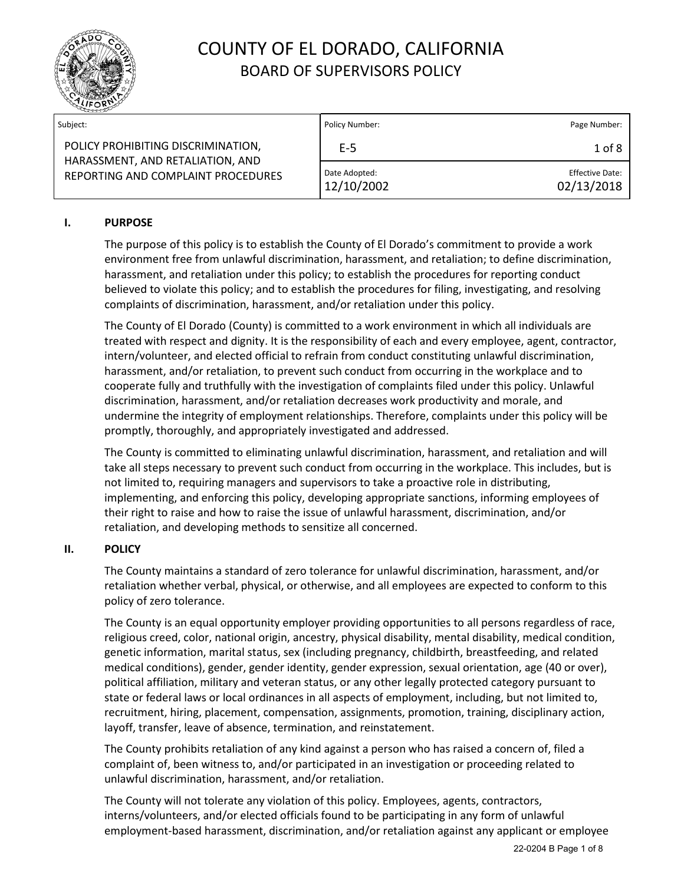

| Subject:                                                                                                     | Policy Number:              | Page Number:                         |
|--------------------------------------------------------------------------------------------------------------|-----------------------------|--------------------------------------|
| POLICY PROHIBITING DISCRIMINATION,<br>HARASSMENT, AND RETALIATION, AND<br>REPORTING AND COMPLAINT PROCEDURES | E-5                         | $1$ of $8$                           |
|                                                                                                              | Date Adopted:<br>12/10/2002 | <b>Effective Date:</b><br>02/13/2018 |

### **I. PURPOSE**

The purpose of this policy is to establish the County of El Dorado's commitment to provide a work environment free from unlawful discrimination, harassment, and retaliation; to define discrimination, harassment, and retaliation under this policy; to establish the procedures for reporting conduct believed to violate this policy; and to establish the procedures for filing, investigating, and resolving complaints of discrimination, harassment, and/or retaliation under this policy.

The County of El Dorado (County) is committed to a work environment in which all individuals are treated with respect and dignity. It is the responsibility of each and every employee, agent, contractor, intern/volunteer, and elected official to refrain from conduct constituting unlawful discrimination, harassment, and/or retaliation, to prevent such conduct from occurring in the workplace and to cooperate fully and truthfully with the investigation of complaints filed under this policy. Unlawful discrimination, harassment, and/or retaliation decreases work productivity and morale, and undermine the integrity of employment relationships. Therefore, complaints under this policy will be promptly, thoroughly, and appropriately investigated and addressed.

The County is committed to eliminating unlawful discrimination, harassment, and retaliation and will take all steps necessary to prevent such conduct from occurring in the workplace. This includes, but is not limited to, requiring managers and supervisors to take a proactive role in distributing, implementing, and enforcing this policy, developing appropriate sanctions, informing employees of their right to raise and how to raise the issue of unlawful harassment, discrimination, and/or retaliation, and developing methods to sensitize all concerned.

#### **II. POLICY**

The County maintains a standard of zero tolerance for unlawful discrimination, harassment, and/or retaliation whether verbal, physical, or otherwise, and all employees are expected to conform to this policy of zero tolerance.

The County is an equal opportunity employer providing opportunities to all persons regardless of race, religious creed, color, national origin, ancestry, physical disability, mental disability, medical condition, genetic information, marital status, sex (including pregnancy, childbirth, breastfeeding, and related medical conditions), gender, gender identity, gender expression, sexual orientation, age (40 or over), political affiliation, military and veteran status, or any other legally protected category pursuant to state or federal laws or local ordinances in all aspects of employment, including, but not limited to, recruitment, hiring, placement, compensation, assignments, promotion, training, disciplinary action, layoff, transfer, leave of absence, termination, and reinstatement.

The County prohibits retaliation of any kind against a person who has raised a concern of, filed a complaint of, been witness to, and/or participated in an investigation or proceeding related to unlawful discrimination, harassment, and/or retaliation.

The County will not tolerate any violation of this policy. Employees, agents, contractors, interns/volunteers, and/or elected officials found to be participating in any form of unlawful employment-based harassment, discrimination, and/or retaliation against any applicant or employee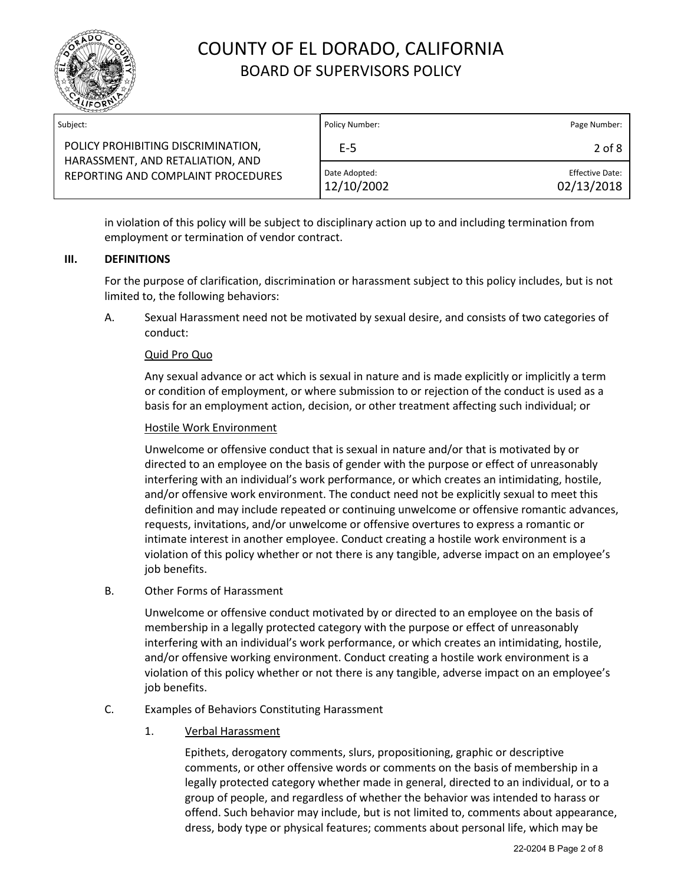

| Subject:                                                                                                     | Policy Number:              | Page Number:                         |
|--------------------------------------------------------------------------------------------------------------|-----------------------------|--------------------------------------|
| POLICY PROHIBITING DISCRIMINATION,<br>HARASSMENT, AND RETALIATION, AND<br>REPORTING AND COMPLAINT PROCEDURES | E-5                         | $2$ of $8$                           |
|                                                                                                              | Date Adopted:<br>12/10/2002 | <b>Effective Date:</b><br>02/13/2018 |

in violation of this policy will be subject to disciplinary action up to and including termination from employment or termination of vendor contract.

#### **III. DEFINITIONS**

For the purpose of clarification, discrimination or harassment subject to this policy includes, but is not limited to, the following behaviors:

A. Sexual Harassment need not be motivated by sexual desire, and consists of two categories of conduct:

#### Quid Pro Quo

Any sexual advance or act which is sexual in nature and is made explicitly or implicitly a term or condition of employment, or where submission to or rejection of the conduct is used as a basis for an employment action, decision, or other treatment affecting such individual; or

#### Hostile Work Environment

Unwelcome or offensive conduct that is sexual in nature and/or that is motivated by or directed to an employee on the basis of gender with the purpose or effect of unreasonably interfering with an individual's work performance, or which creates an intimidating, hostile, and/or offensive work environment. The conduct need not be explicitly sexual to meet this definition and may include repeated or continuing unwelcome or offensive romantic advances, requests, invitations, and/or unwelcome or offensive overtures to express a romantic or intimate interest in another employee. Conduct creating a hostile work environment is a violation of this policy whether or not there is any tangible, adverse impact on an employee's job benefits.

B. Other Forms of Harassment

Unwelcome or offensive conduct motivated by or directed to an employee on the basis of membership in a legally protected category with the purpose or effect of unreasonably interfering with an individual's work performance, or which creates an intimidating, hostile, and/or offensive working environment. Conduct creating a hostile work environment is a violation of this policy whether or not there is any tangible, adverse impact on an employee's job benefits.

#### C. Examples of Behaviors Constituting Harassment

1. Verbal Harassment

Epithets, derogatory comments, slurs, propositioning, graphic or descriptive comments, or other offensive words or comments on the basis of membership in a legally protected category whether made in general, directed to an individual, or to a group of people, and regardless of whether the behavior was intended to harass or offend. Such behavior may include, but is not limited to, comments about appearance, dress, body type or physical features; comments about personal life, which may be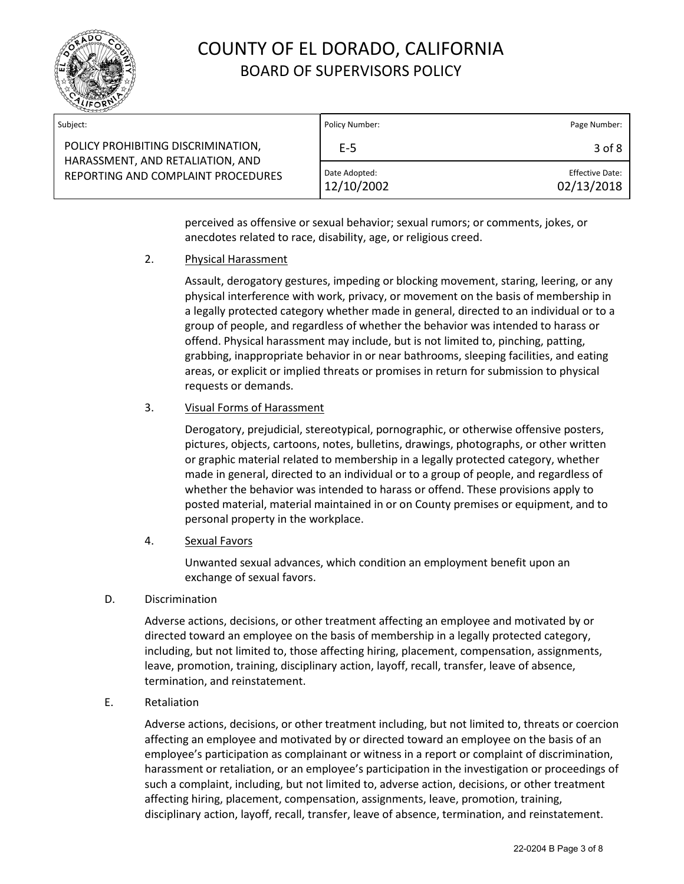

| Subject:                                                                                                     | Policy Number:              | Page Number:                         |
|--------------------------------------------------------------------------------------------------------------|-----------------------------|--------------------------------------|
| POLICY PROHIBITING DISCRIMINATION,<br>HARASSMENT, AND RETALIATION, AND<br>REPORTING AND COMPLAINT PROCEDURES | E-5                         | 3 of 8                               |
|                                                                                                              | Date Adopted:<br>12/10/2002 | <b>Effective Date:</b><br>02/13/2018 |

perceived as offensive or sexual behavior; sexual rumors; or comments, jokes, or anecdotes related to race, disability, age, or religious creed.

#### 2. Physical Harassment

Assault, derogatory gestures, impeding or blocking movement, staring, leering, or any physical interference with work, privacy, or movement on the basis of membership in a legally protected category whether made in general, directed to an individual or to a group of people, and regardless of whether the behavior was intended to harass or offend. Physical harassment may include, but is not limited to, pinching, patting, grabbing, inappropriate behavior in or near bathrooms, sleeping facilities, and eating areas, or explicit or implied threats or promises in return for submission to physical requests or demands.

### 3. Visual Forms of Harassment

Derogatory, prejudicial, stereotypical, pornographic, or otherwise offensive posters, pictures, objects, cartoons, notes, bulletins, drawings, photographs, or other written or graphic material related to membership in a legally protected category, whether made in general, directed to an individual or to a group of people, and regardless of whether the behavior was intended to harass or offend. These provisions apply to posted material, material maintained in or on County premises or equipment, and to personal property in the workplace.

4. Sexual Favors

Unwanted sexual advances, which condition an employment benefit upon an exchange of sexual favors.

D. Discrimination

Adverse actions, decisions, or other treatment affecting an employee and motivated by or directed toward an employee on the basis of membership in a legally protected category, including, but not limited to, those affecting hiring, placement, compensation, assignments, leave, promotion, training, disciplinary action, layoff, recall, transfer, leave of absence, termination, and reinstatement.

E. Retaliation

Adverse actions, decisions, or other treatment including, but not limited to, threats or coercion affecting an employee and motivated by or directed toward an employee on the basis of an employee's participation as complainant or witness in a report or complaint of discrimination, harassment or retaliation, or an employee's participation in the investigation or proceedings of such a complaint, including, but not limited to, adverse action, decisions, or other treatment affecting hiring, placement, compensation, assignments, leave, promotion, training, disciplinary action, layoff, recall, transfer, leave of absence, termination, and reinstatement.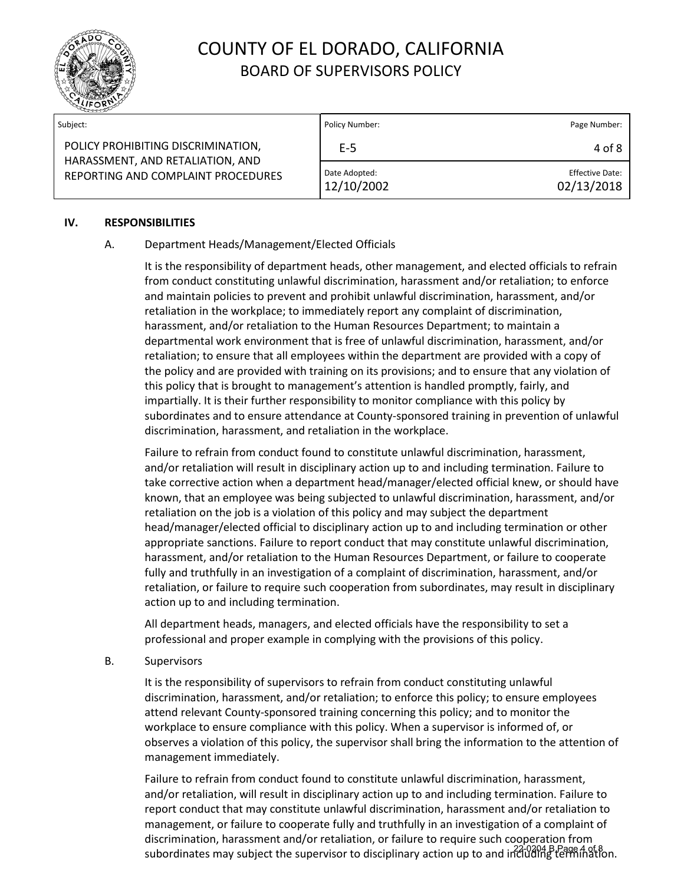

| Subject:                                                                                                     | Policy Number:              | Page Number:                  |
|--------------------------------------------------------------------------------------------------------------|-----------------------------|-------------------------------|
| POLICY PROHIBITING DISCRIMINATION,<br>HARASSMENT, AND RETALIATION, AND<br>REPORTING AND COMPLAINT PROCEDURES | E-5                         | 4 of 8                        |
|                                                                                                              | Date Adopted:<br>12/10/2002 | Effective Date:<br>02/13/2018 |

#### **IV. RESPONSIBILITIES**

#### A. Department Heads/Management/Elected Officials

It is the responsibility of department heads, other management, and elected officials to refrain from conduct constituting unlawful discrimination, harassment and/or retaliation; to enforce and maintain policies to prevent and prohibit unlawful discrimination, harassment, and/or retaliation in the workplace; to immediately report any complaint of discrimination, harassment, and/or retaliation to the Human Resources Department; to maintain a departmental work environment that is free of unlawful discrimination, harassment, and/or retaliation; to ensure that all employees within the department are provided with a copy of the policy and are provided with training on its provisions; and to ensure that any violation of this policy that is brought to management's attention is handled promptly, fairly, and impartially. It is their further responsibility to monitor compliance with this policy by subordinates and to ensure attendance at County-sponsored training in prevention of unlawful discrimination, harassment, and retaliation in the workplace.

Failure to refrain from conduct found to constitute unlawful discrimination, harassment, and/or retaliation will result in disciplinary action up to and including termination. Failure to take corrective action when a department head/manager/elected official knew, or should have known, that an employee was being subjected to unlawful discrimination, harassment, and/or retaliation on the job is a violation of this policy and may subject the department head/manager/elected official to disciplinary action up to and including termination or other appropriate sanctions. Failure to report conduct that may constitute unlawful discrimination, harassment, and/or retaliation to the Human Resources Department, or failure to cooperate fully and truthfully in an investigation of a complaint of discrimination, harassment, and/or retaliation, or failure to require such cooperation from subordinates, may result in disciplinary action up to and including termination.

All department heads, managers, and elected officials have the responsibility to set a professional and proper example in complying with the provisions of this policy.

#### B. Supervisors

It is the responsibility of supervisors to refrain from conduct constituting unlawful discrimination, harassment, and/or retaliation; to enforce this policy; to ensure employees attend relevant County-sponsored training concerning this policy; and to monitor the workplace to ensure compliance with this policy. When a supervisor is informed of, or observes a violation of this policy, the supervisor shall bring the information to the attention of management immediately.

Failure to refrain from conduct found to constitute unlawful discrimination, harassment, and/or retaliation, will result in disciplinary action up to and including termination. Failure to report conduct that may constitute unlawful discrimination, harassment and/or retaliation to management, or failure to cooperate fully and truthfully in an investigation of a complaint of discrimination, harassment and/or retaliation, or failure to require such cooperation from subordinates may subject the supervisor to disciplinary action up to and including termination.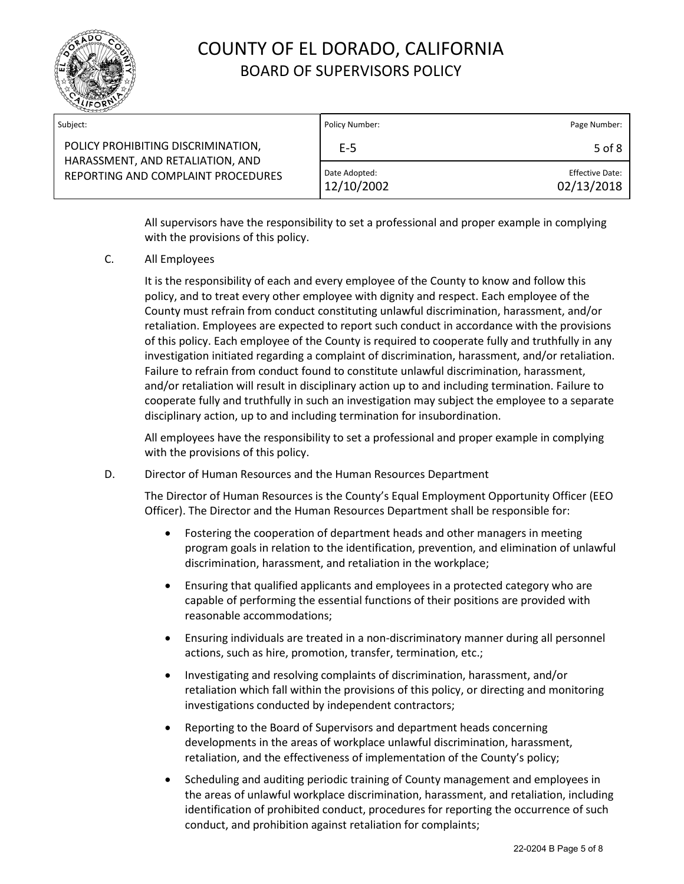

| Subject:                                                                                                     | Policy Number:              | Page Number:                         |
|--------------------------------------------------------------------------------------------------------------|-----------------------------|--------------------------------------|
| POLICY PROHIBITING DISCRIMINATION,<br>HARASSMENT, AND RETALIATION, AND<br>REPORTING AND COMPLAINT PROCEDURES | E-5                         | 5 of 8                               |
|                                                                                                              | Date Adopted:<br>12/10/2002 | <b>Effective Date:</b><br>02/13/2018 |

All supervisors have the responsibility to set a professional and proper example in complying with the provisions of this policy.

C. All Employees

It is the responsibility of each and every employee of the County to know and follow this policy, and to treat every other employee with dignity and respect. Each employee of the County must refrain from conduct constituting unlawful discrimination, harassment, and/or retaliation. Employees are expected to report such conduct in accordance with the provisions of this policy. Each employee of the County is required to cooperate fully and truthfully in any investigation initiated regarding a complaint of discrimination, harassment, and/or retaliation. Failure to refrain from conduct found to constitute unlawful discrimination, harassment, and/or retaliation will result in disciplinary action up to and including termination. Failure to cooperate fully and truthfully in such an investigation may subject the employee to a separate disciplinary action, up to and including termination for insubordination.

All employees have the responsibility to set a professional and proper example in complying with the provisions of this policy.

D. Director of Human Resources and the Human Resources Department

The Director of Human Resources is the County's Equal Employment Opportunity Officer (EEO Officer). The Director and the Human Resources Department shall be responsible for:

- Fostering the cooperation of department heads and other managers in meeting program goals in relation to the identification, prevention, and elimination of unlawful discrimination, harassment, and retaliation in the workplace;
- Ensuring that qualified applicants and employees in a protected category who are capable of performing the essential functions of their positions are provided with reasonable accommodations;
- Ensuring individuals are treated in a non-discriminatory manner during all personnel actions, such as hire, promotion, transfer, termination, etc.;
- Investigating and resolving complaints of discrimination, harassment, and/or retaliation which fall within the provisions of this policy, or directing and monitoring investigations conducted by independent contractors;
- Reporting to the Board of Supervisors and department heads concerning developments in the areas of workplace unlawful discrimination, harassment, retaliation, and the effectiveness of implementation of the County's policy;
- Scheduling and auditing periodic training of County management and employees in the areas of unlawful workplace discrimination, harassment, and retaliation, including identification of prohibited conduct, procedures for reporting the occurrence of such conduct, and prohibition against retaliation for complaints;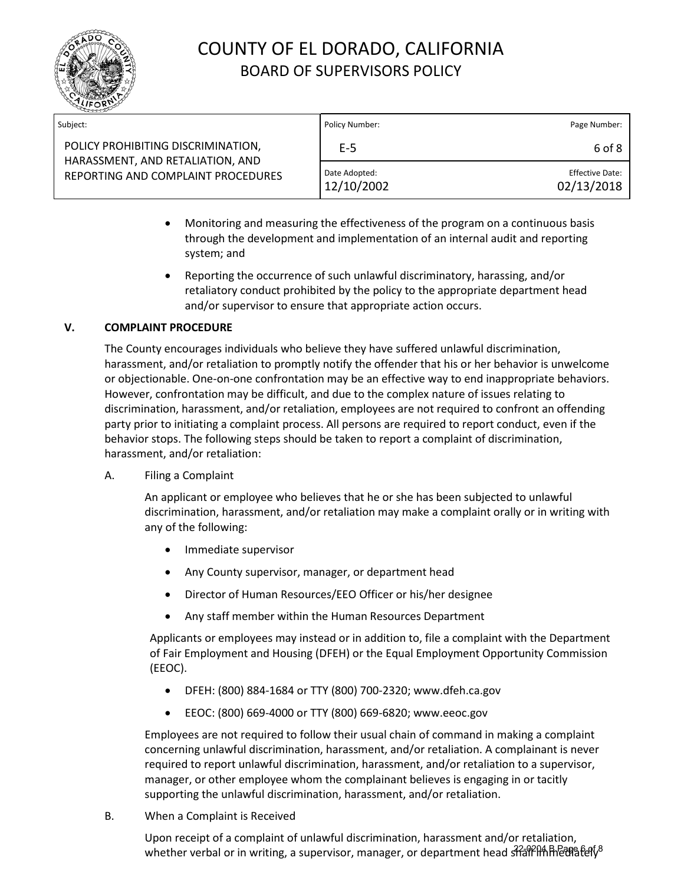

| Subject:                                                                                                     | Policy Number:              | Page Number:                  |
|--------------------------------------------------------------------------------------------------------------|-----------------------------|-------------------------------|
| POLICY PROHIBITING DISCRIMINATION,<br>HARASSMENT, AND RETALIATION, AND<br>REPORTING AND COMPLAINT PROCEDURES | E-5                         | 6 of 8                        |
|                                                                                                              | Date Adopted:<br>12/10/2002 | Effective Date:<br>02/13/2018 |

- Monitoring and measuring the effectiveness of the program on a continuous basis through the development and implementation of an internal audit and reporting system; and
- Reporting the occurrence of such unlawful discriminatory, harassing, and/or retaliatory conduct prohibited by the policy to the appropriate department head and/or supervisor to ensure that appropriate action occurs.

### **V. COMPLAINT PROCEDURE**

The County encourages individuals who believe they have suffered unlawful discrimination, harassment, and/or retaliation to promptly notify the offender that his or her behavior is unwelcome or objectionable. One-on-one confrontation may be an effective way to end inappropriate behaviors. However, confrontation may be difficult, and due to the complex nature of issues relating to discrimination, harassment, and/or retaliation, employees are not required to confront an offending party prior to initiating a complaint process. All persons are required to report conduct, even if the behavior stops. The following steps should be taken to report a complaint of discrimination, harassment, and/or retaliation:

A. Filing a Complaint

An applicant or employee who believes that he or she has been subjected to unlawful discrimination, harassment, and/or retaliation may make a complaint orally or in writing with any of the following:

- Immediate supervisor
- Any County supervisor, manager, or department head
- Director of Human Resources/EEO Officer or his/her designee
- Any staff member within the Human Resources Department

Applicants or employees may instead or in addition to, file a complaint with the Department of Fair Employment and Housing (DFEH) or the Equal Employment Opportunity Commission (EEOC).

- DFEH: (800) 884-1684 or TTY (800) 700-2320; www.dfeh.ca.gov
- EEOC: (800) 669-4000 or TTY (800) 669-6820; www.eeoc.gov

Employees are not required to follow their usual chain of command in making a complaint concerning unlawful discrimination, harassment, and/or retaliation. A complainant is never required to report unlawful discrimination, harassment, and/or retaliation to a supervisor, manager, or other employee whom the complainant believes is engaging in or tacitly supporting the unlawful discrimination, harassment, and/or retaliation.

B. When a Complaint is Received

Upon receipt of a complaint of unlawful discrimination, harassment and/or retaliation, whether verbal or in writing, a supervisor, manager, or department head shall limhediately<sup>8</sup>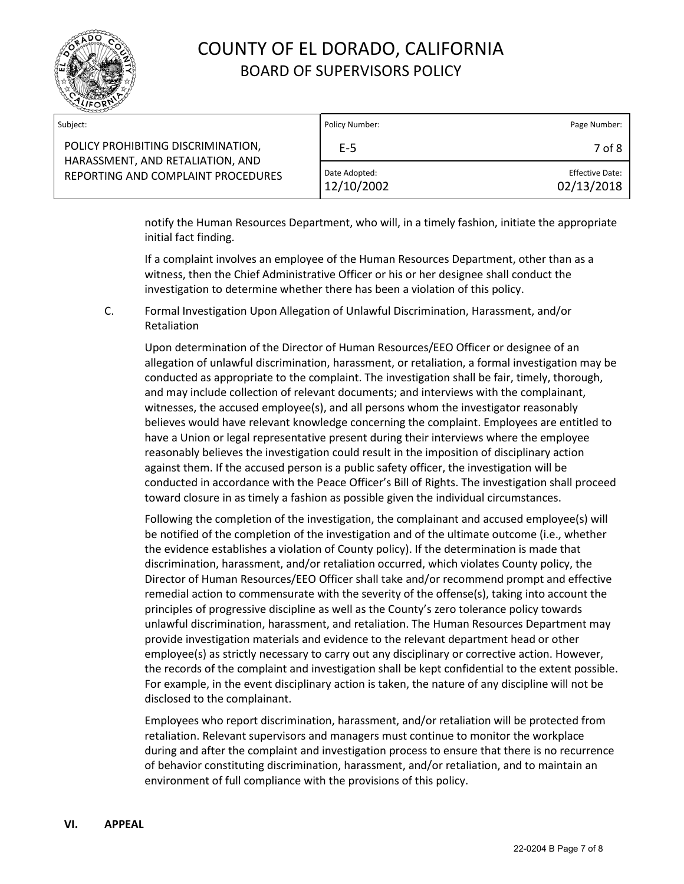

| Subject:                                                                                                     | Policy Number:              | Page Number:                         |
|--------------------------------------------------------------------------------------------------------------|-----------------------------|--------------------------------------|
| POLICY PROHIBITING DISCRIMINATION,<br>HARASSMENT, AND RETALIATION, AND<br>REPORTING AND COMPLAINT PROCEDURES | $E-5$                       | 7 of 8                               |
|                                                                                                              | Date Adopted:<br>12/10/2002 | <b>Effective Date:</b><br>02/13/2018 |

notify the Human Resources Department, who will, in a timely fashion, initiate the appropriate initial fact finding.

If a complaint involves an employee of the Human Resources Department, other than as a witness, then the Chief Administrative Officer or his or her designee shall conduct the investigation to determine whether there has been a violation of this policy.

C. Formal Investigation Upon Allegation of Unlawful Discrimination, Harassment, and/or Retaliation

Upon determination of the Director of Human Resources/EEO Officer or designee of an allegation of unlawful discrimination, harassment, or retaliation, a formal investigation may be conducted as appropriate to the complaint. The investigation shall be fair, timely, thorough, and may include collection of relevant documents; and interviews with the complainant, witnesses, the accused employee(s), and all persons whom the investigator reasonably believes would have relevant knowledge concerning the complaint. Employees are entitled to have a Union or legal representative present during their interviews where the employee reasonably believes the investigation could result in the imposition of disciplinary action against them. If the accused person is a public safety officer, the investigation will be conducted in accordance with the Peace Officer's Bill of Rights. The investigation shall proceed toward closure in as timely a fashion as possible given the individual circumstances.

Following the completion of the investigation, the complainant and accused employee(s) will be notified of the completion of the investigation and of the ultimate outcome (i.e., whether the evidence establishes a violation of County policy). If the determination is made that discrimination, harassment, and/or retaliation occurred, which violates County policy, the Director of Human Resources/EEO Officer shall take and/or recommend prompt and effective remedial action to commensurate with the severity of the offense(s), taking into account the principles of progressive discipline as well as the County's zero tolerance policy towards unlawful discrimination, harassment, and retaliation. The Human Resources Department may provide investigation materials and evidence to the relevant department head or other employee(s) as strictly necessary to carry out any disciplinary or corrective action. However, the records of the complaint and investigation shall be kept confidential to the extent possible. For example, in the event disciplinary action is taken, the nature of any discipline will not be disclosed to the complainant.

Employees who report discrimination, harassment, and/or retaliation will be protected from retaliation. Relevant supervisors and managers must continue to monitor the workplace during and after the complaint and investigation process to ensure that there is no recurrence of behavior constituting discrimination, harassment, and/or retaliation, and to maintain an environment of full compliance with the provisions of this policy.